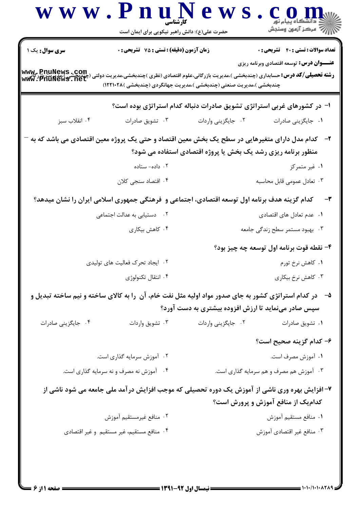|                                           | حضرت علی(ع): دانش راهبر نیکویی برای ایمان است                                                                                                                                   |                                                                         |                                                 |
|-------------------------------------------|---------------------------------------------------------------------------------------------------------------------------------------------------------------------------------|-------------------------------------------------------------------------|-------------------------------------------------|
| <b>سری سوال :</b> یک ۱                    | زمان آزمون (دقیقه) : تستی : 75 گشریحی : 0                                                                                                                                       |                                                                         | <b>تعداد سوالات : تستي : 40 - تشريحي : 0</b>    |
|                                           |                                                                                                                                                                                 |                                                                         | <b>عنـــوان درس:</b> توسعه اقتصادی وبرنامه ریزی |
| www.pnuNews.com                           | <b>رشته تحصیلی/کد درس:</b> حسابداری (چندبخشی )،مدیریت بازرگانی،علوم اقتصادی (نظری )چندبخشی،مدیریت دولتی<br>چندبخشی )،مدیریت صنعتی (چندبخشی )،مدیریت جهانگردی (چندبخشی )۱۲۲۱۰۲۸) |                                                                         |                                                 |
|                                           |                                                                                                                                                                                 | ا- در کشورهای غربی استراتژی تشویق صادرات دنباله کدام استراتژی بوده است؟ |                                                 |
| ۰۴ انقلاب سبز                             | ۰۳ تشویق صادرات                                                                                                                                                                 | ٠٢ جايگزيني واردات                                                      | ٠١. جايگزيني صادرات                             |
|                                           | ۲–۔ کدام مدل دارای متغیرهایی در سطح یک بخش معین اقتصاد و حتی یک پروژه معین اقتصادی می باشد که به                                                                                |                                                                         |                                                 |
|                                           |                                                                                                                                                                                 | منظور برنامه ریزی رشد یک بخش یا پروژه اقتصادی استفاده می شود؟           |                                                 |
|                                           | ۰۲ داده– ستاده                                                                                                                                                                  |                                                                         | ۰۱ غیر متمرکز                                   |
|                                           | ۰۴ اقتصاد سنجی کلان                                                                                                                                                             |                                                                         | ۰۳ تعادل عمومی قابل محاسبه                      |
|                                           | کدام گزینه هدف برنامه اول توسعه اقتصادی، اجتماعی و ۖفرهنگی جمهوری اسلامی ایران را نشان میدهد؟                                                                                   |                                                                         |                                                 |
| ۰۲ دستیابی به عدالت اجتما <i>ع</i> ی      |                                                                                                                                                                                 |                                                                         | ۰۱ عدم تعادل های اقتصادی                        |
|                                           | ۰۴ کاهش بیکاری                                                                                                                                                                  |                                                                         | ۰۳ بهبود مستمر سطح زندگی جامعه                  |
|                                           |                                                                                                                                                                                 |                                                                         | ۴- نقطه قوت برنامه اول توسعه چه چیز بود؟        |
| ۰۲ ایجاد تحرک فعالیت های تولیدی           |                                                                                                                                                                                 |                                                                         | ۰۱ کاهش نرخ تورم                                |
|                                           | ۰۴ انتقال تكنولوژي                                                                                                                                                              |                                                                         | ۰۳ کاهش نرخ بیکاری                              |
|                                           | ۵− در کدام استراتژی کشور به جای صدور مواد اولیه مثل نفت خام، آن را به کالای ساخته و نیم ساخته تبدیل و                                                                           |                                                                         |                                                 |
|                                           |                                                                                                                                                                                 | سپس صادر مینماید تا ارزش افزوده بیشتری به دست آورد؟                     |                                                 |
| ۰۴ جایگزینی صادرات                        | ۰۳ تشويق واردات                                                                                                                                                                 | ٢. جايگزيني واردات                                                      | ۰۱ تشويق صادرات                                 |
|                                           |                                                                                                                                                                                 |                                                                         | ۶– کدام گزینه صحیح است؟                         |
| ۰۲ آموزش سرمایه گذاری است.                |                                                                                                                                                                                 | ۰۱ آموزش مصرف است.                                                      |                                                 |
| ۰۴ گاموزش نه مصرف و نه سرمایه گذاری است.  |                                                                                                                                                                                 | ۰۳ آموزش هم مصرف و هم سرمایه گذاری است.                                 |                                                 |
|                                           | ۷- افزایش بهره وری ناشی از آموزش یک دوره تحصیلی که موجب افزایش درآمد ملی جامعه می شود ناشی از                                                                                   |                                                                         |                                                 |
|                                           |                                                                                                                                                                                 |                                                                         | کدام یک از منافع آموزش و پرورش است؟             |
| ۰۲ منافع غيرمستقيم آموزش                  |                                                                                                                                                                                 |                                                                         | ٠١ منافع مستقيم آموزش                           |
| ۰۴ منافع مستقيم، غير مستقيم و غير اقتصادي |                                                                                                                                                                                 | ۰۳ منافع غير اقتصادي آموزش                                              |                                                 |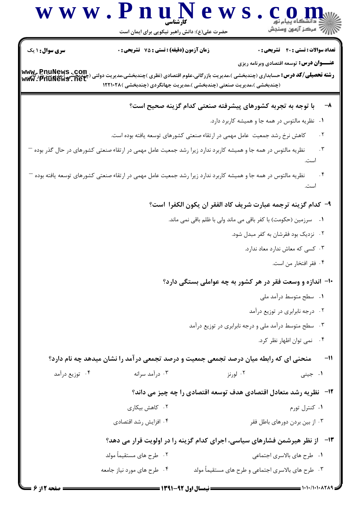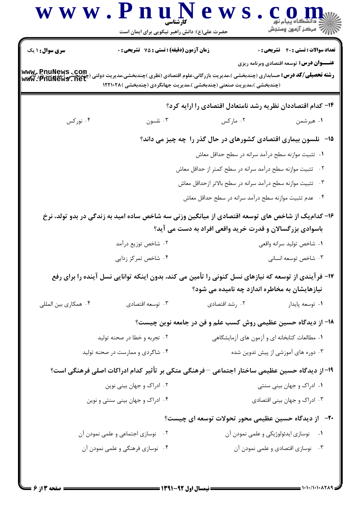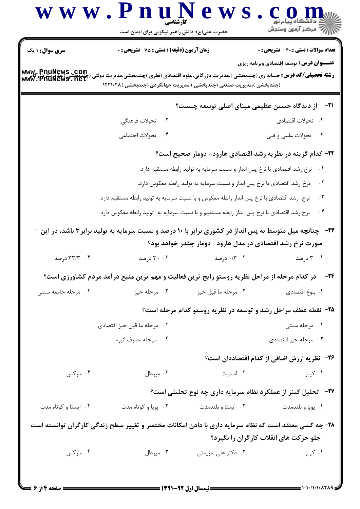| سری سوال: ۱ یک                              | <b>زمان آزمون (دقیقه) : تستی : 75 تشریحی : 0</b>                                                                                                                                |                                                                           | <b>تعداد سوالات : تستي : 40 قشريحي : 0</b><br><b>عنـــوان درس:</b> توسعه اقتصادی وبرنامه ریزی |
|---------------------------------------------|---------------------------------------------------------------------------------------------------------------------------------------------------------------------------------|---------------------------------------------------------------------------|-----------------------------------------------------------------------------------------------|
| www.pnuNews.com<br>مندهشی): www.PnuNews.net | <b>رشته تحصیلی/کد درس:</b> حسابداری (چندبخشی )،مدیریت بازرگانی،علوم اقتصادی (نظری )چندبخشی،مدیریت دولتی<br>(چندبخشی )،مدیریت صنعتی (چندبخشی )،مدیریت جهانگردی (چندبخشی )۱۲۲۱۰۲۸ |                                                                           |                                                                                               |
|                                             |                                                                                                                                                                                 | ۲۱−۔ از دیدگاہ حسین عظیمی مبنای اصلی توسعه چیست؟                          |                                                                                               |
|                                             | ۰۲ تحولات فرهنگی                                                                                                                                                                |                                                                           | ٠١. تحولات اقتصادي                                                                            |
|                                             | ۰۴ تحولات اجتماعي                                                                                                                                                               |                                                                           | ۰۳ تحولات علمی و فنی                                                                          |
|                                             |                                                                                                                                                                                 | ۲۲– کدام گزینه در نظریه رشد اقتصادی هارود- دومار صحیح است؟                |                                                                                               |
|                                             |                                                                                                                                                                                 | نرخ رشد اقتصادی با نرخ پس انداز و نسبت سرمایه به تولید رابطه مستقیم دارد. | $\cdot$                                                                                       |
|                                             |                                                                                                                                                                                 | نرخ رشد اقتصادی با نرخ پس انداز و نسبت سرمایه به تولید رابطه معکوس دارد.  | $\cdot$ ٢                                                                                     |
|                                             | نرخ ِ رشد اقتصادی با نرخ پس انداز رابطه معکوس و با نسبت سرمایه به تولید رابطه مستقیم دارد.                                                                                      |                                                                           | . $\mathsf{r}$                                                                                |
|                                             | نرخ رشد اقتصادی با نرخ پس انداز رابطه مستقیم و با نسبت سرمایه به تولید رابطه معکوس دارد.                                                                                        |                                                                           | . $\mathsf{f}$                                                                                |
|                                             | <b>۲۳</b> -   چنانچه میل متوسط به پس انداز در کشوری برابر با ۱۰ درصد و نسبت سرمایه به تولید برابر ۳ باشد، در این <sup>-</sup>                                                   | صورت نرخ رشد اقتصادی در مدل هارود- دومار چقدر خواهد بود؟                  |                                                                                               |
| ۰۴ درصد                                     |                                                                                                                                                                                 |                                                                           |                                                                                               |
|                                             | ۰۳ درصد                                                                                                                                                                         | ۰۱۲ ۰/۳ درصد                                                              | ۰۱ ۲ درصد                                                                                     |
|                                             | <b>۳۴</b> − در کدام مرحله از مراحل نظریه روستو رایج ترین فعالیت و مهم ترین منبع درآمد مردم کشاورزی است؟                                                                         |                                                                           |                                                                                               |
| ۰۴ مرحله جامعه سنتی                         | ۰۳ مرحله خیز                                                                                                                                                                    | ۰۲ مرحله ما قبل خيز                                                       | ٠١. بلوغ اقتصادي                                                                              |
|                                             |                                                                                                                                                                                 | ۲۵- نقطه عطف مراحل رشد و توسعه در نظریه روستو کدام مرحله است؟             |                                                                                               |
|                                             | ۰۲ مرحله ما قبل خيز اقتصادي                                                                                                                                                     |                                                                           | ۰۱ مرحله سنتی                                                                                 |
|                                             | ۰۴ مرحله مصرف انبوه                                                                                                                                                             |                                                                           | ۰۳ مرحله خيز اقتصادي                                                                          |
|                                             |                                                                                                                                                                                 |                                                                           |                                                                                               |
| ۰۴ مارکس                                    | ۰۳ میردال $\cdot$                                                                                                                                                               | ۰۲ اسمیت                                                                  | ۰۱ کینز                                                                                       |
|                                             |                                                                                                                                                                                 | <b>۲۷-۔ تحلیل کینز از عملکرد نظام سرمایه داری چه نوع تحلیلی است؟</b>      |                                                                                               |
| ۰۴ ایستا و کوتاه مدت                        | ۰۳ پویا و کوتاه مدت                                                                                                                                                             | ٠٢ ايستا وبلندمدت                                                         | ۰۱ پویا و بلندمدت                                                                             |
|                                             |                                                                                                                                                                                 |                                                                           |                                                                                               |
|                                             | ۲۸- چه کسی معتقد است که نظام سرمایه داری با دادن امکانات مختصر و تغییر سطح زندگی کارگران توانسته است                                                                            |                                                                           | <b>۳۶</b> − نظریه ارزش اضافی از کدام اقتصاددان است؟<br>جلو حرکت های انقلاب کارگران را بگیرد؟  |

 $= 1.1 - 11.1 - 11.19$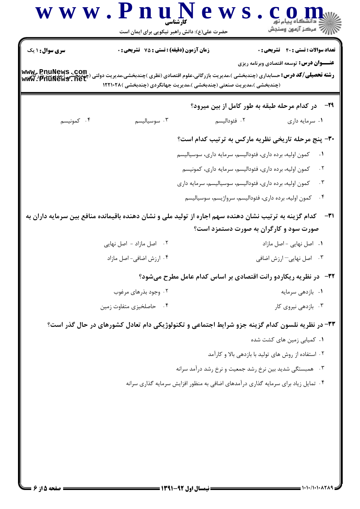